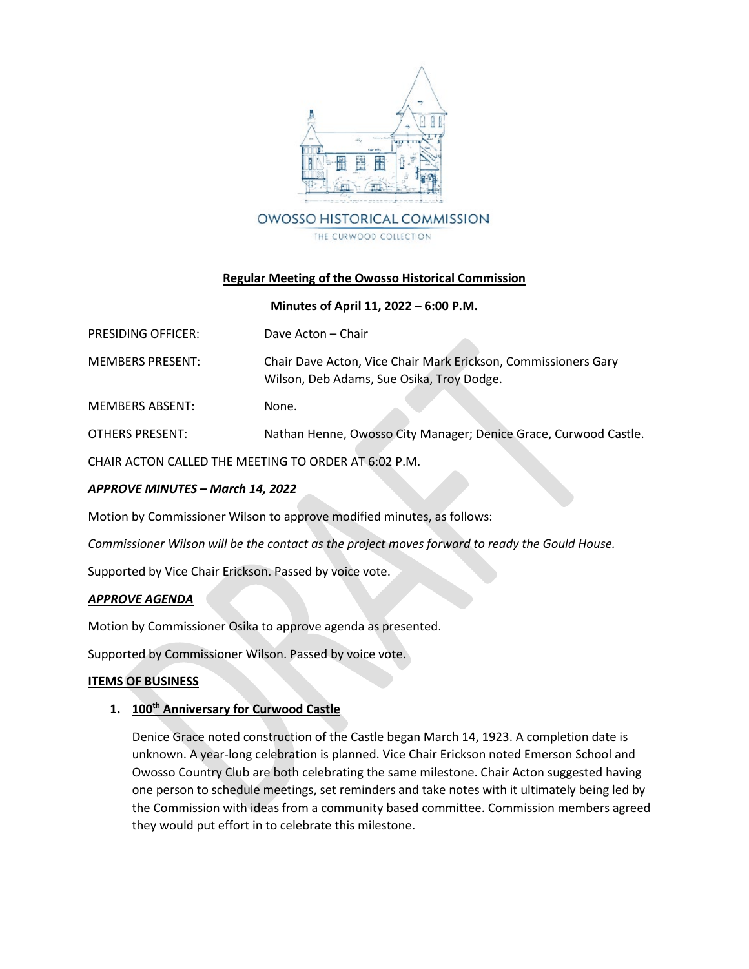

## **Regular Meeting of the Owosso Historical Commission**

### **Minutes of April 11, 2022 – 6:00 P.M.**

| <b>PRESIDING OFFICER:</b> | Dave Acton – Chair |
|---------------------------|--------------------|
|                           |                    |

MEMBERS PRESENT: Chair Dave Acton, Vice Chair Mark Erickson, Commissioners Gary Wilson, Deb Adams, Sue Osika, Troy Dodge.

MEMBERS ABSENT: None.

OTHERS PRESENT: Nathan Henne, Owosso City Manager; Denice Grace, Curwood Castle.

CHAIR ACTON CALLED THE MEETING TO ORDER AT 6:02 P.M.

### *APPROVE MINUTES – March 14, 2022*

Motion by Commissioner Wilson to approve modified minutes, as follows:

*Commissioner Wilson will be the contact as the project moves forward to ready the Gould House.* 

Supported by Vice Chair Erickson. Passed by voice vote.

### *APPROVE AGENDA*

Motion by Commissioner Osika to approve agenda as presented.

Supported by Commissioner Wilson. Passed by voice vote.

### **ITEMS OF BUSINESS**

### **1. 100th Anniversary for Curwood Castle**

Denice Grace noted construction of the Castle began March 14, 1923. A completion date is unknown. A year-long celebration is planned. Vice Chair Erickson noted Emerson School and Owosso Country Club are both celebrating the same milestone. Chair Acton suggested having one person to schedule meetings, set reminders and take notes with it ultimately being led by the Commission with ideas from a community based committee. Commission members agreed they would put effort in to celebrate this milestone.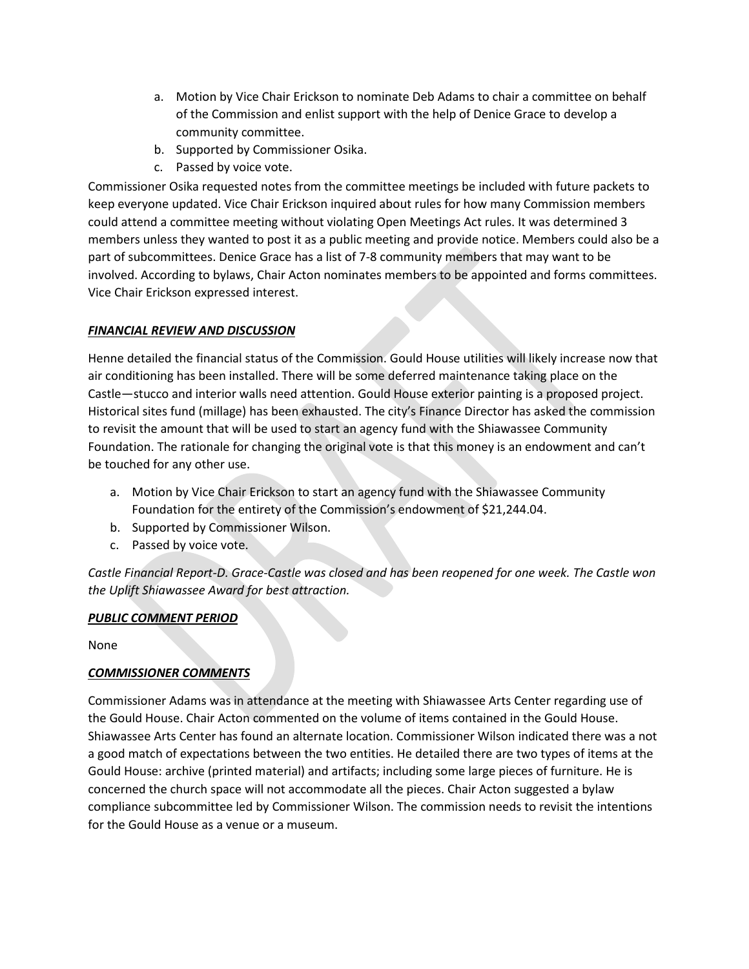- a. Motion by Vice Chair Erickson to nominate Deb Adams to chair a committee on behalf of the Commission and enlist support with the help of Denice Grace to develop a community committee.
- b. Supported by Commissioner Osika.
- c. Passed by voice vote.

Commissioner Osika requested notes from the committee meetings be included with future packets to keep everyone updated. Vice Chair Erickson inquired about rules for how many Commission members could attend a committee meeting without violating Open Meetings Act rules. It was determined 3 members unless they wanted to post it as a public meeting and provide notice. Members could also be a part of subcommittees. Denice Grace has a list of 7-8 community members that may want to be involved. According to bylaws, Chair Acton nominates members to be appointed and forms committees. Vice Chair Erickson expressed interest.

## *FINANCIAL REVIEW AND DISCUSSION*

Henne detailed the financial status of the Commission. Gould House utilities will likely increase now that air conditioning has been installed. There will be some deferred maintenance taking place on the Castle—stucco and interior walls need attention. Gould House exterior painting is a proposed project. Historical sites fund (millage) has been exhausted. The city's Finance Director has asked the commission to revisit the amount that will be used to start an agency fund with the Shiawassee Community Foundation. The rationale for changing the original vote is that this money is an endowment and can't be touched for any other use.

- a. Motion by Vice Chair Erickson to start an agency fund with the Shiawassee Community Foundation for the entirety of the Commission's endowment of \$21,244.04.
- b. Supported by Commissioner Wilson.
- c. Passed by voice vote.

*Castle Financial Report-D. Grace-Castle was closed and has been reopened for one week. The Castle won the Uplift Shiawassee Award for best attraction.*

# *PUBLIC COMMENT PERIOD*

None

# *COMMISSIONER COMMENTS*

Commissioner Adams was in attendance at the meeting with Shiawassee Arts Center regarding use of the Gould House. Chair Acton commented on the volume of items contained in the Gould House. Shiawassee Arts Center has found an alternate location. Commissioner Wilson indicated there was a not a good match of expectations between the two entities. He detailed there are two types of items at the Gould House: archive (printed material) and artifacts; including some large pieces of furniture. He is concerned the church space will not accommodate all the pieces. Chair Acton suggested a bylaw compliance subcommittee led by Commissioner Wilson. The commission needs to revisit the intentions for the Gould House as a venue or a museum.